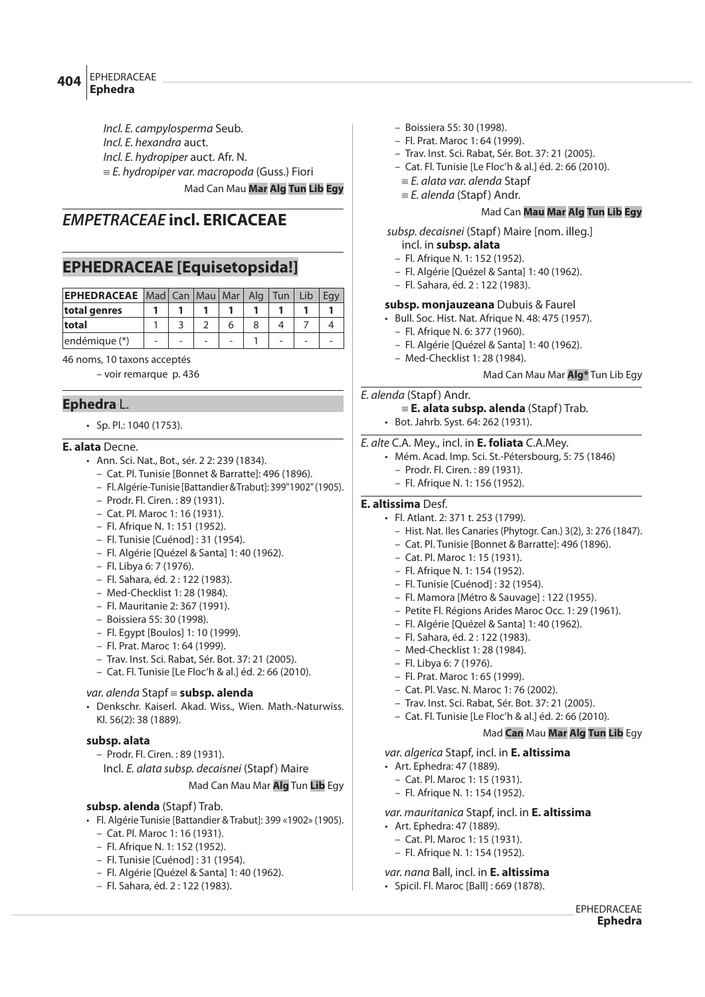## EPHEDRACEAE **Ephedra <sup>404</sup>**

Incl. E. campylosperma Seub.

Incl. E. hexandra auct.

Incl. E. hydropiper auct. Afr. N.

 $E$ . hydropiper var. macropoda (Guss.) Fiori

Mad Can Mau **Mar Alg Tun Lib Egy**

## **EMPETRACEAE incl. ERICACEAE**

# **EPHEDRACEAE [Equisetopsida!]**

| <b>EPHEDRACEAE</b> Mad Can Mau Mar Alg Tun Lib |  |  |  | Eav |
|------------------------------------------------|--|--|--|-----|
| total genres                                   |  |  |  |     |
| total                                          |  |  |  |     |
| endémique (*)                                  |  |  |  |     |

46 noms, 10 taxons acceptés

– voir remarque p. 436

## **Ephedra** L.

• Sp. Pl.: 1040 (1753).

## **E. alata** Decne.

- Ann. Sci. Nat., Bot., sér. 2 2: 239 (1834).
	- Cat. Pl. Tunisie [Bonnet & Barratte]: 496 (1896).
	- Fl. Algérie-Tunisie [Battandier & Trabut]: 399"1902" (1905).
	- Prodr. Fl. Ciren. : 89 (1931).
	- Cat. Pl. Maroc 1: 16 (1931).
	- Fl. Afrique N. 1: 151 (1952).
	- Fl. Tunisie [Cuénod] : 31 (1954).
	- Fl. Algérie [Quézel & Santa] 1: 40 (1962).
	- Fl. Libya 6: 7 (1976).
	- Fl. Sahara, éd. 2 : 122 (1983).
	- Med-Checklist 1: 28 (1984).
	- Fl. Mauritanie 2: 367 (1991).
	- Boissiera 55: 30 (1998).
	- Fl. Egypt [Boulos] 1: 10 (1999).
	- Fl. Prat. Maroc 1: 64 (1999).
	- Trav. Inst. Sci. Rabat, Sér. Bot. 37: 21 (2005).
	- Cat. Fl. Tunisie [Le Floc'h & al.] éd. 2: 66 (2010).

## var. alenda Stapf = subsp. alenda

• Denkschr. Kaiserl. Akad. Wiss., Wien. Math.-Naturwiss. Kl. 56(2): 38 (1889).

## **subsp. alata**

- Prodr. Fl. Ciren. : 89 (1931).
- Incl. E. alata subsp. decaisnei (Stapf) Maire

## Mad Can Mau Mar **Alg** Tun **Lib** Egy

## **subsp. alenda** (Stapf) Trab.

- Fl. Algérie Tunisie [Battandier & Trabut]: 399 «1902» (1905).
	- Cat. Pl. Maroc 1: 16 (1931).
	- Fl. Afrique N. 1: 152 (1952).
	- Fl. Tunisie [Cuénod] : 31 (1954).
	- Fl. Algérie [Quézel & Santa] 1: 40 (1962).
	- Fl. Sahara, éd. 2 : 122 (1983).
- Boissiera 55: 30 (1998).
- Fl. Prat. Maroc 1: 64 (1999).
- Trav. Inst. Sci. Rabat, Sér. Bot. 37: 21 (2005).
- Cat. Fl. Tunisie [Le Floc'h & al.] éd. 2: 66 (2010).
	- $E$ . alata var. alenda Stapf
	- $E$ . alenda (Stapf) Andr.

## Mad Can **Mau Mar Alg Tun Lib Egy**

subsp. decaisnei (Stapf) Maire [nom. illeg.]

- incl. in **subsp. alata**
- Fl. Afrique N. 1: 152 (1952).
- Fl. Algérie [Quézel & Santa] 1: 40 (1962).
- Fl. Sahara, éd. 2 : 122 (1983).

## **subsp. monjauzeana** Dubuis & Faurel

- Bull. Soc. Hist. Nat. Afrique N. 48: 475 (1957).
	- Fl. Afrique N. 6: 377 (1960).
	- Fl. Algérie [Quézel & Santa] 1: 40 (1962).
	- Med-Checklist 1: 28 (1984).

## Mad Can Mau Mar **Alg\*** Tun Lib Egy

## E. alenda (Stapf) Andr.

- { **E. alata subsp. alenda** (Stapf) Trab.
- Bot. Jahrb. Syst. 64: 262 (1931).

## E. alte C.A. Mey., incl. in **E. foliata** C.A.Mey.

- Mém. Acad. Imp. Sci. St.-Pétersbourg, 5: 75 (1846) – Prodr. Fl. Ciren. : 89 (1931).
	- Fl. Afrique N. 1: 156 (1952).

## **E. altissima** Desf.

- Fl. Atlant. 2: 371 t. 253 (1799).
	- Hist. Nat. Iles Canaries (Phytogr. Can.) 3(2), 3: 276 (1847).
	- Cat. Pl. Tunisie [Bonnet & Barratte]: 496 (1896).
	- Cat. Pl. Maroc 1: 15 (1931).
	- Fl. Afrique N. 1: 154 (1952).
	- Fl. Tunisie [Cuénod] : 32 (1954).
	- Fl. Mamora [Métro & Sauvage] : 122 (1955).
	- Petite Fl. Régions Arides Maroc Occ. 1: 29 (1961).
	- Fl. Algérie [Quézel & Santa] 1: 40 (1962).
	- Fl. Sahara, éd. 2 : 122 (1983).
	- Med-Checklist 1: 28 (1984).
	- Fl. Libya 6: 7 (1976).
	- Fl. Prat. Maroc 1: 65 (1999).
	- Cat. Pl. Vasc. N. Maroc 1: 76 (2002).
	- Trav. Inst. Sci. Rabat, Sér. Bot. 37: 21 (2005).
	- Cat. Fl. Tunisie [Le Floc'h & al.] éd. 2: 66 (2010).

## Mad **Can** Mau **Mar Alg Tun Lib** Egy

var. algerica Stapf, incl. in **E. altissima**

- Art. Ephedra: 47 (1889).
	- Cat. Pl. Maroc 1: 15 (1931).
	- Fl. Afrique N. 1: 154 (1952).

## var. mauritanica Stapf, incl. in **E. altissima**

- Art. Ephedra: 47 (1889).
	- Cat. Pl. Maroc 1: 15 (1931).
	- Fl. Afrique N. 1: 154 (1952).

## var. nana Ball, incl. in **E. altissima**

• Spicil. Fl. Maroc [Ball] : 669 (1878).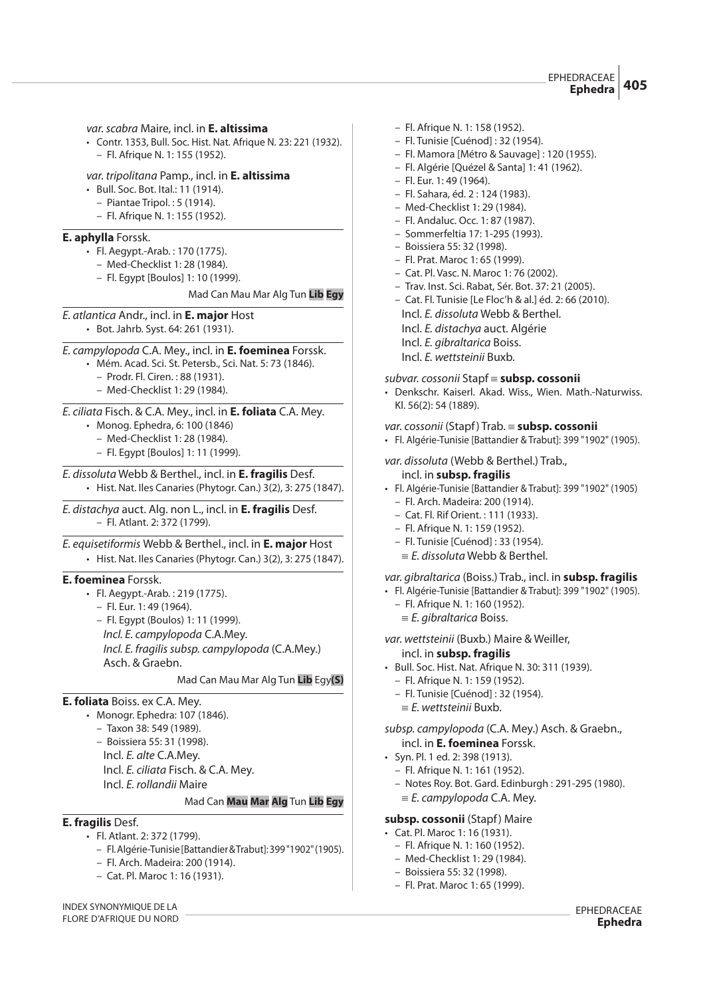var. scabra Maire, incl. in **E. altissima**

• Contr. 1353, Bull. Soc. Hist. Nat. Afrique N. 23: 221 (1932). – Fl. Afrique N. 1: 155 (1952).

#### var. tripolitana Pamp., incl. in **E. altissima**

- Bull. Soc. Bot. Ital.: 11 (1914).
- Piantae Tripol. : 5 (1914).
- Fl. Afrique N. 1: 155 (1952).

#### **E. aphylla** Forssk.

- Fl. Aegypt.-Arab. : 170 (1775).
	- Med-Checklist 1: 28 (1984).
	- Fl. Egypt [Boulos] 1: 10 (1999).

Mad Can Mau Mar Alg Tun **Lib Egy**

E. atlantica Andr., incl. in **E. major** Host • Bot. Jahrb. Syst. 64: 261 (1931).

## E. campylopoda C.A. Mey., incl. in **E. foeminea** Forssk.

• Mém. Acad. Sci. St. Petersb., Sci. Nat. 5: 73 (1846).

- Prodr. Fl. Ciren. : 88 (1931).
- Med-Checklist 1: 29 (1984).

## E. ciliata Fisch. & C.A. Mey., incl. in **E. foliata** C.A. Mey.

- Monog. Ephedra, 6: 100 (1846)
	- Med-Checklist 1: 28 (1984).
	- Fl. Egypt [Boulos] 1: 11 (1999).

E. dissoluta Webb & Berthel., incl. in **E. fragilis** Desf. • Hist. Nat. Iles Canaries (Phytogr. Can.) 3(2), 3: 275 (1847).

E. distachya auct. Alg. non L., incl. in **E. fragilis** Desf. – Fl. Atlant. 2: 372 (1799).

E. equisetiformis Webb & Berthel., incl. in **E. major** Host • Hist. Nat. Iles Canaries (Phytogr. Can.) 3(2), 3: 275 (1847).

## **E. foeminea** Forssk.

- Fl. Aegypt.-Arab. : 219 (1775).
- Fl. Eur. 1: 49 (1964).
	- Fl. Egypt (Boulos) 1: 11 (1999). Incl. E. campylopoda C.A.Mey. Incl. E. fragilis subsp. campylopoda (C.A.Mey.) Asch. & Graebn.

#### Mad Can Mau Mar Alg Tun **Lib** Egy**(S)**

## **E. foliata** Boiss. ex C.A. Mey.

- Monogr. Ephedra: 107 (1846).
	- Taxon 38: 549 (1989).
	- Boissiera 55: 31 (1998).
	- Incl. E. alte C.A.Mey. Incl. E. ciliata Fisch. & C.A. Mey.

## Incl. E. rollandii Maire

## Mad Can **Mau Mar Alg** Tun **Lib Egy**

## **E. fragilis** Desf.

- Fl. Atlant. 2: 372 (1799).
	- Fl. Algérie-Tunisie [Battandier & Trabut]: 399 "1902" (1905).
	- Fl. Arch. Madeira: 200 (1914).
	- Cat. Pl. Maroc 1: 16 (1931).

– Fl. Afrique N. 1: 158 (1952).

- Fl. Tunisie [Cuénod] : 32 (1954).
- Fl. Mamora [Métro & Sauvage] : 120 (1955).
- Fl. Algérie [Quézel & Santa] 1: 41 (1962).
- Fl. Eur. 1: 49 (1964).
- Fl. Sahara, éd. 2 : 124 (1983).
- Med-Checklist 1: 29 (1984).
- Fl. Andaluc. Occ. 1: 87 (1987).
- Sommerfeltia 17: 1-295 (1993).
- Boissiera 55: 32 (1998). – Fl. Prat. Maroc 1: 65 (1999).
- 
- Cat. Pl. Vasc. N. Maroc 1: 76 (2002).
- Trav. Inst. Sci. Rabat, Sér. Bot. 37: 21 (2005).
- Cat. Fl. Tunisie [Le Floc'h & al.] éd. 2: 66 (2010).
	- Incl. E. dissoluta Webb & Berthel.
	- Incl. E. distachya auct. Algérie
	- Incl. E. gibraltarica Boiss.
	- Incl. E. wettsteinii Buxb.

#### subvar. cossonii Stapf { **subsp. cossonii**

• Denkschr. Kaiserl. Akad. Wiss., Wien. Math.-Naturwiss. Kl. 56(2): 54 (1889).

## var. cossonii (Stapf) Trab. { **subsp. cossonii**

• Fl. Algérie-Tunisie [Battandier & Trabut]: 399 "1902" (1905).

## var. dissoluta (Webb & Berthel.) Trab.,

#### incl. in **subsp. fragilis**

- Fl. Algérie-Tunisie [Battandier & Trabut]: 399 "1902" (1905)
	- Fl. Arch. Madeira: 200 (1914).
	- Cat. Fl. Rif Orient. : 111 (1933).
	- Fl. Afrique N. 1: 159 (1952).
	- Fl. Tunisie [Cuénod] : 33 (1954).
	- $E = E$ . dissoluta Webb & Berthel.

#### var. gibraltarica (Boiss.) Trab., incl. in **subsp. fragilis**

- Fl. Algérie-Tunisie [Battandier & Trabut]: 399 "1902" (1905).
	- Fl. Afrique N. 1: 160 (1952).
	- $E$ . gibraltarica Boiss.

var. wettsteinii (Buxb.) Maire & Weiller,

#### incl. in **subsp. fragilis**

- Bull. Soc. Hist. Nat. Afrique N. 30: 311 (1939).
	- Fl. Afrique N. 1: 159 (1952).
	- Fl. Tunisie [Cuénod] : 32 (1954).
	- $E$ . wettsteinii Buxb.

subsp. campylopoda (C.A. Mey.) Asch. & Graebn., incl. in **E. foeminea** Forssk.

- Syn. Pl. 1 ed. 2: 398 (1913).
- Fl. Afrique N. 1: 161 (1952).
- Notes Roy. Bot. Gard. Edinburgh : 291-295 (1980).
- $E$ . campylopoda C.A. Mev.

#### **subsp. cossonii** (Stapf) Maire

- Cat. Pl. Maroc 1: 16 (1931).
	- Fl. Afrique N. 1: 160 (1952).
	- Med-Checklist 1: 29 (1984).
	- Boissiera 55: 32 (1998).
	- Fl. Prat. Maroc 1: 65 (1999).

INDEX SYNONYMIQUE DE LA FLORE D'AFRIQUE DU NORD